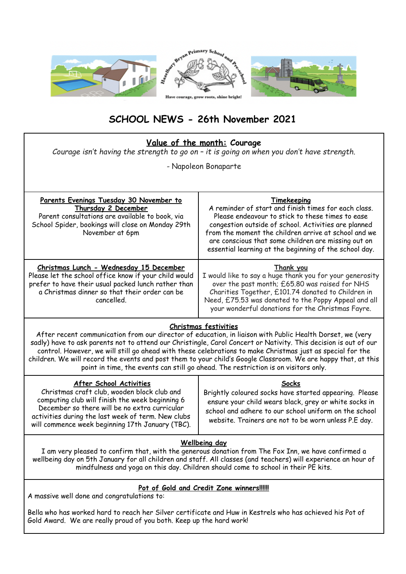

# **SCHOOL NEWS - 26th November 2021**

|  |  | <u>Value of the month:</u> Courage |
|--|--|------------------------------------|
|  |  |                                    |

*Courage isn't having the strength to go on – it is going on when you don't have strength.*

*-* Napoleon Bonaparte

| Parents Evenings Tuesday 30 November to<br>Thursday 2 December<br>Parent consultations are available to book, via<br>School Spider, bookings will close on Monday 29th<br>November at 6pm                              | Timekeeping<br>A reminder of start and finish times for each class.<br>Please endeavour to stick to these times to ease<br>congestion outside of school. Activities are planned<br>from the moment the children arrive at school and we<br>are conscious that some children are missing out on<br>essential learning at the beginning of the school day. |  |
|------------------------------------------------------------------------------------------------------------------------------------------------------------------------------------------------------------------------|----------------------------------------------------------------------------------------------------------------------------------------------------------------------------------------------------------------------------------------------------------------------------------------------------------------------------------------------------------|--|
| Christmas Lunch - Wednesday 15 December<br>Please let the school office know if your child would<br>prefer to have their usual packed lunch rather than<br>a Christmas dinner so that their order can be<br>cancelled. | Thank you<br>I would like to say a huge thank you for your generosity<br>over the past month; £65.80 was raised for NHS<br>Charities Together, £101.74 donated to Children in<br>Need, £75.53 was donated to the Poppy Appeal and all<br>your wonderful donations for the Christmas Fayre.                                                               |  |

## **Christmas festivities**

After recent communication from our director of education, in liaison with Public Health Dorset, we (very sadly) have to ask parents not to attend our Christingle, Carol Concert or Nativity. This decision is out of our control. However, we will still go ahead with these celebrations to make Christmas just as special for the children. We will record the events and post them to your child's Google Classroom. We are happy that, at this point in time, the events can still go ahead. The restriction is on visitors only.

## **Wellbeing day**

I am very pleased to confirm that, with the generous donation from The Fox Inn, we have confirmed a wellbeing day on 5th January for all children and staff. All classes (and teachers) will experience an hour of mindfulness and yoga on this day. Children should come to school in their PE kits.

## **Pot of Gold and Credit Zone winners!!!!!!**

A massive well done and congratulations to:

Bella who has worked hard to reach her Silver certificate and Huw in Kestrels who has achieved his Pot of Gold Award. We are really proud of you both. Keep up the hard work!